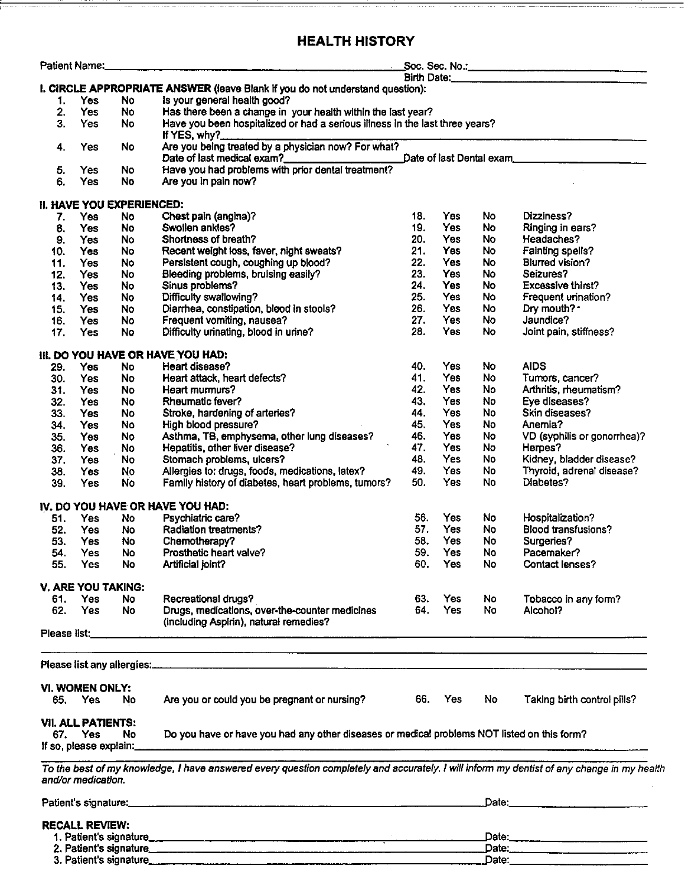### **HEALTH HISTORY**

|            | Patient Name:                        |                                  |                                                                                                                                            |            |            |           |                                        |  |  |  |
|------------|--------------------------------------|----------------------------------|--------------------------------------------------------------------------------------------------------------------------------------------|------------|------------|-----------|----------------------------------------|--|--|--|
|            |                                      |                                  |                                                                                                                                            |            |            |           |                                        |  |  |  |
| 1.         | <b>Yes</b>                           | No.                              | I. CIRCLE APPROPRIATE ANSWER (leave Blank if you do not understand question):<br>is your general health good?                              |            |            |           |                                        |  |  |  |
| 2.         | <b>Yes</b>                           | No                               | Has there been a change in your health within the last year?                                                                               |            |            |           |                                        |  |  |  |
| 3.         | Yes                                  | No                               | Have you been hospitalized or had a serious illness in the last three years?<br>If YES, why?__                                             |            |            |           |                                        |  |  |  |
| 4.         | Yes                                  | No                               | Are you being treated by a physician now? For what?<br>Date of last Dental exam                                                            |            |            |           |                                        |  |  |  |
| 5.         | Yes                                  | No                               | Have you had problems with prior dental treatment?                                                                                         |            |            |           |                                        |  |  |  |
| 6.         | Yes                                  | No                               | Are you in pain now?                                                                                                                       |            |            |           |                                        |  |  |  |
|            |                                      | <b>II. HAVE YOU EXPERIENCED:</b> |                                                                                                                                            |            |            |           |                                        |  |  |  |
| 7.         | Yes                                  | No                               | Chest pain (angina)?                                                                                                                       | 18.        | Yes        | No.       | Dizziness?                             |  |  |  |
| 8.         | Yes                                  | No.                              | Swollen ankles?                                                                                                                            | 19.        | Yes        | No        | Ringing in ears?                       |  |  |  |
| 9.         | Yes                                  | No.                              | Shortness of breath?                                                                                                                       | 20.        | Yes        | No        | Headaches?                             |  |  |  |
| 10.        | <b>Yes</b>                           | No                               | Recent weight loss, fever, night sweats?                                                                                                   | 21.        | Yes        | No        | Fainting spells?                       |  |  |  |
| 11.        | <b>Yes</b>                           | <b>No</b>                        | Persistent cough, coughing up blood?                                                                                                       | 22.        | Yes        | <b>No</b> | <b>Blurred vision?</b>                 |  |  |  |
| 12.        | Yes                                  | No                               | Bleeding problems, bruising easily?                                                                                                        | 23.        | Yes        | <b>No</b> | Seizures?                              |  |  |  |
| 13.        | Yes                                  | No.                              | Sinus problems?                                                                                                                            | 24.        | Yes        | No        | <b>Excessive thirst?</b>               |  |  |  |
| 14.        | Yes                                  | No.                              | Difficulty swallowing?                                                                                                                     | 25.        | Yes        | No.       | Frequent unnation?                     |  |  |  |
| 15.        | Yes                                  | No                               | Diarrhea, constipation, blood in stools?                                                                                                   | 26.        | Yes        | No.       | Dry mouth? -                           |  |  |  |
|            |                                      |                                  | Frequent vomiting, nausea?                                                                                                                 | 27.        | Yes        | No        | Jaundice?                              |  |  |  |
| 16.        | Yes                                  | No.                              |                                                                                                                                            |            |            |           |                                        |  |  |  |
| 17.        | Yes                                  | No                               | Difficulty urinating, blood in urine?                                                                                                      | 28.        | Yes        | <b>No</b> | Joint pain, stiffness?                 |  |  |  |
|            |                                      |                                  | III. DO YOU HAVE OR HAVE YOU HAD:                                                                                                          |            |            |           |                                        |  |  |  |
| 29.        | Yes                                  | No                               | Heart disease?                                                                                                                             | 40.        | Yes        | No        | <b>AIDS</b>                            |  |  |  |
| 30.        | Yes                                  | No.                              | Heart attack, heart defects?                                                                                                               | 41.        | Yes        | No.       | Tumors, cancer?                        |  |  |  |
| 31.        | Yes                                  | No.                              | Heart murmurs?                                                                                                                             | 42.        | Yes        | No.       | Arthritis, rheumatism?                 |  |  |  |
| 32.        | Yes                                  | No.                              | <b>Rheumatic fever?</b>                                                                                                                    | 43.        | Yes        | No        | Eye diseases?                          |  |  |  |
| 33.        | Yes                                  | No                               | Stroke, hardening of arteries?                                                                                                             | 44.        | Yes        | No        | Skin diseases?                         |  |  |  |
| 34.        | Yes                                  | No                               | High blood pressure?                                                                                                                       | 45.        | Yes        | No        | Anemia?                                |  |  |  |
| 35.        | Yes                                  | No                               | Asthma, TB, emphysema, other lung diseases?                                                                                                | 46.        | Yes        | No        | VD (syphilis or gonorrhea)?            |  |  |  |
| 36.        | Yes                                  | No.                              | Hepatitis, other liver disease?                                                                                                            | 47.        | Yes        | No        | Herpes?                                |  |  |  |
|            |                                      |                                  |                                                                                                                                            |            |            |           |                                        |  |  |  |
| 37.        | Yes                                  | No.                              | Stomach problems, ulcers?                                                                                                                  | 48.        | Yes        | No        | Kidney, bladder disease?               |  |  |  |
| 38.<br>39. | Yes<br>Yes                           | <b>No</b><br>No                  | Allergies to: drugs, foods, medications, latex?<br>Family history of diabetes, heart problems, tumors?                                     | 49.<br>50. | Yes<br>Yes | No<br>No  | Thyroid, adrenal disease?<br>Diabetes? |  |  |  |
|            |                                      |                                  |                                                                                                                                            |            |            |           |                                        |  |  |  |
|            |                                      |                                  | IV. DO YOU HAVE OR HAVE YOU HAD:                                                                                                           |            |            |           |                                        |  |  |  |
| 51.        | Yes                                  | No                               | Psychiatric care?                                                                                                                          | 56.        | Yes        | No.       | Hospitalization?                       |  |  |  |
| 52.        | <b>Yes</b>                           | No.                              | <b>Radiation treatments?</b>                                                                                                               | 57.        | Yes        | No        | Blood transfusions?                    |  |  |  |
| 53.        | <b>Yes</b>                           | No                               | Chemotherapy?                                                                                                                              | 58.        | Yes        | No        | Surgeries?                             |  |  |  |
| 54.        | Yes                                  | No                               | Prosthetic heart valve?                                                                                                                    | 59.        | Yes        | <b>No</b> | Pacemaker?                             |  |  |  |
| 55.        | Yes                                  | No.                              | Artificial joint?                                                                                                                          | 60.        | Yes        | No        | <b>Contact lenses?</b>                 |  |  |  |
|            |                                      | V. ARE YOU TAKING:               |                                                                                                                                            |            |            |           |                                        |  |  |  |
| 61.        | Yes                                  | No                               | Recreational drugs?                                                                                                                        | 63.        | Yes        | No        | Tobacco in any form?                   |  |  |  |
| 62.        | <b>Yes</b>                           | No                               | Drugs, medications, over-the-counter medicines                                                                                             | 64.        | <b>Yes</b> | No        | Alcohol?                               |  |  |  |
|            |                                      |                                  | (including Aspirin), natural remedies?                                                                                                     |            |            |           |                                        |  |  |  |
|            |                                      |                                  |                                                                                                                                            |            |            |           |                                        |  |  |  |
|            |                                      |                                  | <u> 1989 - Andrea Andrew Marson, Amerikaansk politiker (d. 1989)</u>                                                                       |            |            |           |                                        |  |  |  |
|            |                                      |                                  |                                                                                                                                            |            |            |           |                                        |  |  |  |
|            | <b>VI. WOMEN ONLY:</b><br>65. Yes    | No.                              | Are you or could you be pregnant or nursing? 66. Yes                                                                                       |            |            | No        | Taking birth control pills?            |  |  |  |
|            |                                      |                                  |                                                                                                                                            |            |            |           |                                        |  |  |  |
|            | <b>VII. ALL PATIENTS:</b><br>67. Yes | No                               | Do you have or have you had any other diseases or medical problems NOT listed on this form?                                                |            |            |           |                                        |  |  |  |
|            |                                      | If so, please explain:__         |                                                                                                                                            |            |            |           |                                        |  |  |  |
|            |                                      |                                  | To the best of my knowledge, I have answered every question completely and accurately. I will inform my dentist of any change in my health |            |            |           |                                        |  |  |  |
|            | and/or medication.                   |                                  |                                                                                                                                            |            |            |           |                                        |  |  |  |
|            |                                      |                                  |                                                                                                                                            |            |            |           |                                        |  |  |  |
|            | <b>RECALL REVIEW:</b>                |                                  |                                                                                                                                            |            |            |           |                                        |  |  |  |
|            |                                      |                                  |                                                                                                                                            |            |            |           | Date: 2008                             |  |  |  |

2. Patient's signature\_<br>3. Patient's signature\_ Date: Date: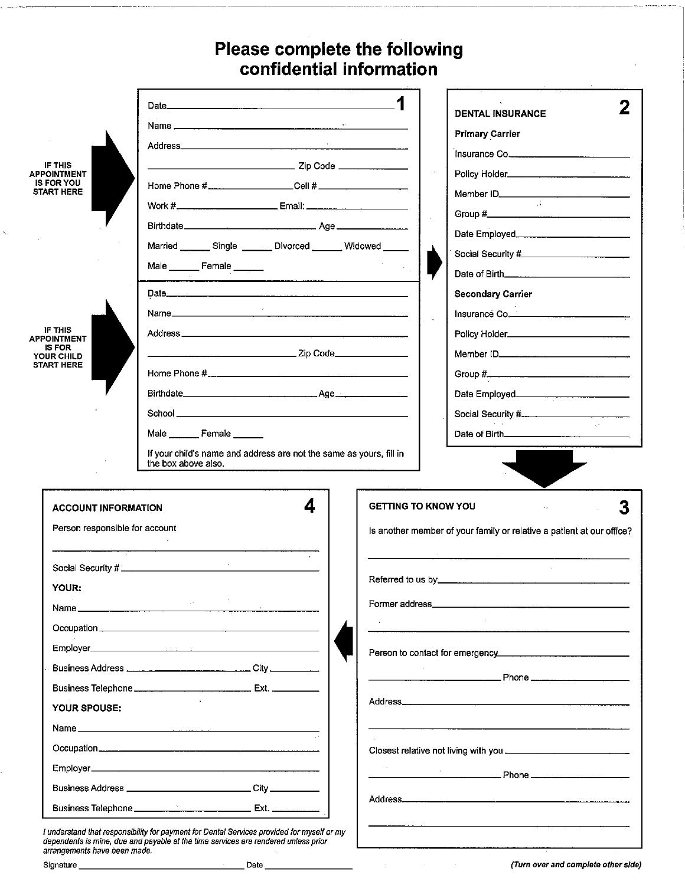# Please complete the following<br>confidential information

|                                                                                              | Date and the contract of the contract of the contract of the contract of the contract of the contract of the contract of the contract of the contract of the contract of the contract of the contract of the contract of the c | <b>DENTAL INSURANCE</b>                                                                             |
|----------------------------------------------------------------------------------------------|--------------------------------------------------------------------------------------------------------------------------------------------------------------------------------------------------------------------------------|-----------------------------------------------------------------------------------------------------|
|                                                                                              |                                                                                                                                                                                                                                | <b>Primary Carrier</b>                                                                              |
|                                                                                              | Address Address Address Address Address Address Address Address Address Address Address Address Address Address Address Address Address Address Address Address Address Address Address Address Address Address Address Addres | Insurance Co.                                                                                       |
| <b>IF THIS</b><br><b>APPOINTMENT</b>                                                         |                                                                                                                                                                                                                                | Policy Holder________________________________                                                       |
| <b>IS FOR YOU</b><br><b>START HERE</b>                                                       |                                                                                                                                                                                                                                |                                                                                                     |
|                                                                                              |                                                                                                                                                                                                                                |                                                                                                     |
|                                                                                              |                                                                                                                                                                                                                                |                                                                                                     |
|                                                                                              | Married ________ Single ________ Divorced _______ Widowed _____                                                                                                                                                                | Social Security #                                                                                   |
| Male Female                                                                                  |                                                                                                                                                                                                                                |                                                                                                     |
|                                                                                              |                                                                                                                                                                                                                                | <b>Secondary Carrier</b>                                                                            |
|                                                                                              |                                                                                                                                                                                                                                | Insurance Co.                                                                                       |
| <b>IF THIS</b><br><b>APPOINTMENT</b>                                                         |                                                                                                                                                                                                                                |                                                                                                     |
| <b>IS FOR</b><br><b>YOUR CHILD</b>                                                           |                                                                                                                                                                                                                                |                                                                                                     |
| <b>START HERE</b>                                                                            |                                                                                                                                                                                                                                |                                                                                                     |
|                                                                                              |                                                                                                                                                                                                                                |                                                                                                     |
|                                                                                              |                                                                                                                                                                                                                                |                                                                                                     |
|                                                                                              |                                                                                                                                                                                                                                |                                                                                                     |
| Male Female<br>the box above also.                                                           | If your child's name and address are not the same as yours, fill in                                                                                                                                                            |                                                                                                     |
|                                                                                              | Д.                                                                                                                                                                                                                             | <b>GETTING TO KNOW YOU</b><br>Is another member of your family or relative a patient at our office? |
| <b>ACCOUNT INFORMATION</b><br>Person responsible for account                                 |                                                                                                                                                                                                                                |                                                                                                     |
|                                                                                              |                                                                                                                                                                                                                                | Referred to us by__________                                                                         |
| YOUR:                                                                                        |                                                                                                                                                                                                                                |                                                                                                     |
|                                                                                              |                                                                                                                                                                                                                                |                                                                                                     |
|                                                                                              |                                                                                                                                                                                                                                |                                                                                                     |
|                                                                                              |                                                                                                                                                                                                                                |                                                                                                     |
| $Occulation$ $\qquad$<br>Business Address ________________________________ City ____________ |                                                                                                                                                                                                                                |                                                                                                     |
|                                                                                              |                                                                                                                                                                                                                                |                                                                                                     |
|                                                                                              |                                                                                                                                                                                                                                |                                                                                                     |
|                                                                                              |                                                                                                                                                                                                                                |                                                                                                     |
| Business Telephone _______________________________ Ext. ___________<br>YOUR SPOUSE:          |                                                                                                                                                                                                                                |                                                                                                     |
| Business Address _______________________________City _____________                           |                                                                                                                                                                                                                                |                                                                                                     |

Signature

 $\epsilon$ 

 $\sim$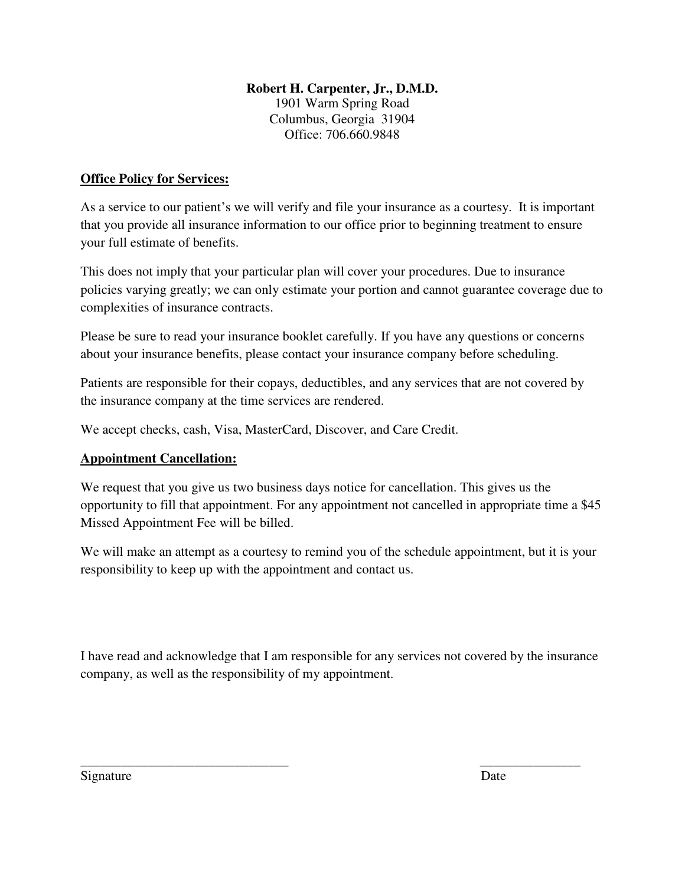### **Robert H. Carpenter, Jr., D.M.D.**  1901 Warm Spring Road

Columbus, Georgia 31904 Office: 706.660.9848

### **Office Policy for Services:**

As a service to our patient's we will verify and file your insurance as a courtesy. It is important that you provide all insurance information to our office prior to beginning treatment to ensure your full estimate of benefits.

This does not imply that your particular plan will cover your procedures. Due to insurance policies varying greatly; we can only estimate your portion and cannot guarantee coverage due to complexities of insurance contracts.

Please be sure to read your insurance booklet carefully. If you have any questions or concerns about your insurance benefits, please contact your insurance company before scheduling.

Patients are responsible for their copays, deductibles, and any services that are not covered by the insurance company at the time services are rendered.

We accept checks, cash, Visa, MasterCard, Discover, and Care Credit.

### **Appointment Cancellation:**

We request that you give us two business days notice for cancellation. This gives us the opportunity to fill that appointment. For any appointment not cancelled in appropriate time a \$45 Missed Appointment Fee will be billed.

We will make an attempt as a courtesy to remind you of the schedule appointment, but it is your responsibility to keep up with the appointment and contact us.

I have read and acknowledge that I am responsible for any services not covered by the insurance company, as well as the responsibility of my appointment.

\_\_\_\_\_\_\_\_\_\_\_\_\_\_\_\_\_\_\_\_\_\_\_\_\_\_\_\_\_\_\_ \_\_\_\_\_\_\_\_\_\_\_\_\_\_\_

Signature Date **Date**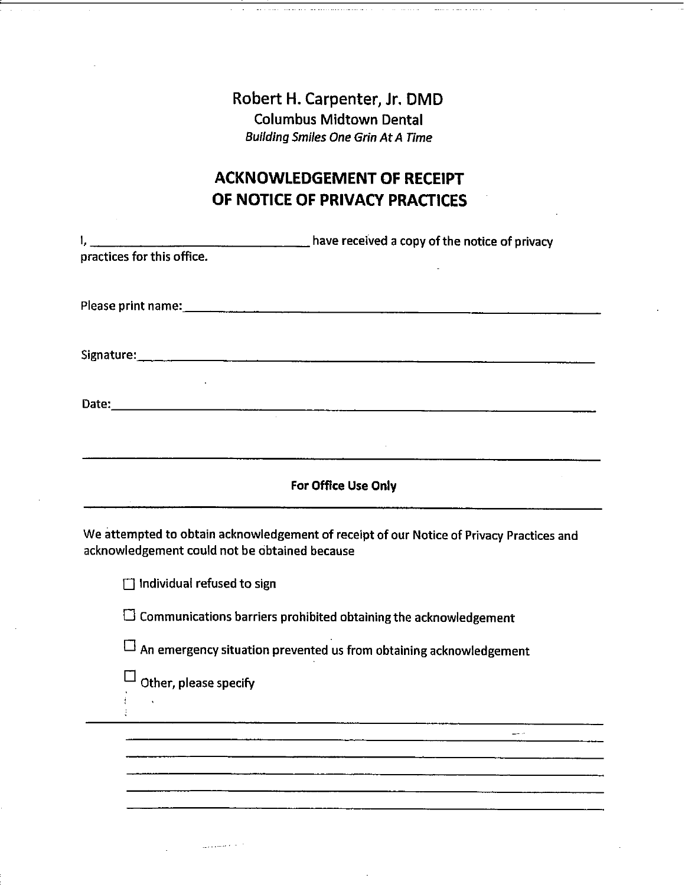Robert H. Carpenter, Jr. DMD **Columbus Midtown Dental Building Smiles One Grin At A Time** 

## **ACKNOWLEDGEMENT OF RECEIPT** OF NOTICE OF PRIVACY PRACTICES

| have received a copy of the notice of privacy                                                                                                                                                                                  |
|--------------------------------------------------------------------------------------------------------------------------------------------------------------------------------------------------------------------------------|
|                                                                                                                                                                                                                                |
|                                                                                                                                                                                                                                |
| Signature: Signature: Signature: Signature: Signature: Signature: Signature: Signature: Signature: Signature: Signature: Signature: Signature: Signature: Signature: Signature: Signature: Signature: Signature: Signature: Si |
|                                                                                                                                                                                                                                |
|                                                                                                                                                                                                                                |
| For Office Use Only                                                                                                                                                                                                            |
| We attempted to obtain acknowledgement of receipt of our Notice of Privacy Practices and<br>acknowledgement could not be obtained because                                                                                      |
|                                                                                                                                                                                                                                |
| $\Box$ Communications barriers prohibited obtaining the acknowledgement                                                                                                                                                        |
| $\Box$ An emergency situation prevented us from obtaining acknowledgement                                                                                                                                                      |
|                                                                                                                                                                                                                                |
|                                                                                                                                                                                                                                |
|                                                                                                                                                                                                                                |
|                                                                                                                                                                                                                                |
|                                                                                                                                                                                                                                |
|                                                                                                                                                                                                                                |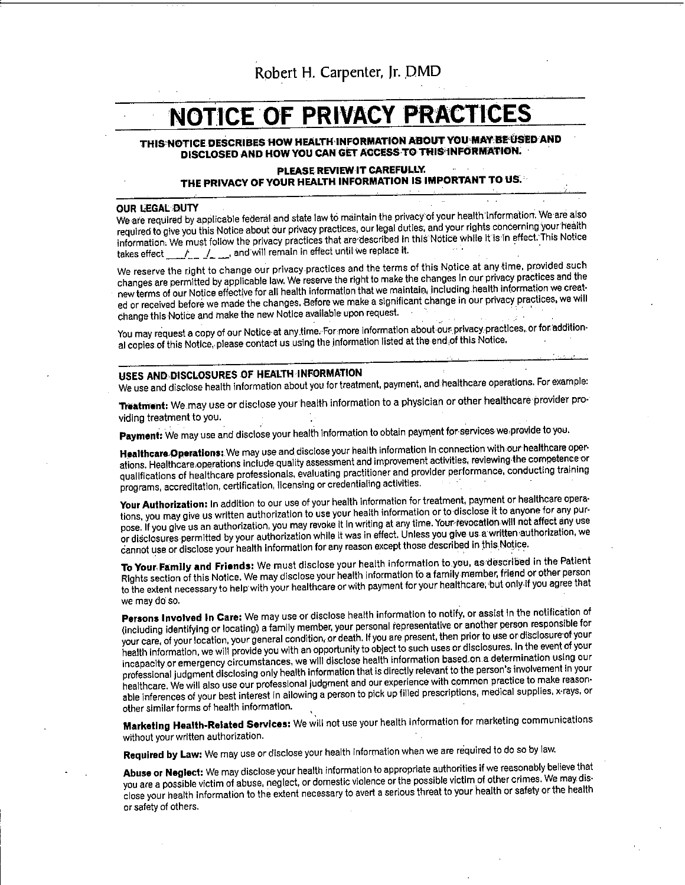Robert H. Carpenter, Jr. DMD

# NOTICE OF PRIVACY PRACTICES

THIS NOTICE DESCRIBES HOW HEALTH INFORMATION ABOUT YOU MAY BE USED AND DISCLOSED AND HOW YOU CAN GET ACCESS TO THIS INFORMATION.

### PLEASE REVIEW IT CAREFULLY.

THE PRIVACY OF YOUR HEALTH INFORMATION IS IMPORTANT TO US.

#### **OUR LEGAL DUTY**

We are required by applicable federal and state law to maintain the privacy of your health information. We are also required to give you this Notice about our privacy practices, our legal duties, and your rights concerning your health information. We must follow the privacy practices that are described in this Notice while it is in effect. This Notice takes effect \_\_/\_ /\_ \_/\_ and will remain in effect until we replace it.

We reserve the right to change our privacy practices and the terms of this Notice at any time, provided such changes are permitted by applicable law. We reserve the right to make the changes in our privacy practices and the new terms of our Notice effective for all health information that we maintain, including health information we created or received before we made the changes. Before we make a significant change in our privacy practices, we will change this Notice and make the new Notice available upon request.

You may request a copy of our Notice at any time. For more information about our privacy practices, or for additional copies of this Notice, please contact us using the information listed at the end of this Notice.

### USES AND DISCLOSURES OF HEALTH INFORMATION

We use and disclose health information about you for treatment, payment, and healthcare operations. For example:

Treatment: We may use or disclose your health information to a physician or other healthcare provider providing treatment to you.

Payment: We may use and disclose your health information to obtain payment for services we provide to you.

Healthcare Operations: We may use and disclose your health information in connection with our healthcare operations. Healthcare operations include quality assessment and improvement activities, reviewing the competence or qualifications of healthcare professionals, evaluating practitioner and provider performance, conducting training programs, accreditation, certification, licensing or credentialing activities.

Your Authorization: In addition to our use of your health information for treatment, payment or healthcare operations, you may give us written authorization to use your health information or to disclose it to anyone for any purpose. If you give us an authorization, you may revoke it in writing at any time. Your revocation will not affect any use or disclosures permitted by your authorization while it was in effect. Unless you give us a written authorization, we cannot use or disclose your health information for any reason except those described in this Notice.

To Your Family and Friends: We must disclose your health information to you, as described in the Patient Rights section of this Notice. We may disclose your health information to a family member, friend or other person to the extent necessary to help with your healthcare or with payment for your healthcare, but only if you agree that we may do so.

Persons Involved In Care: We may use or disclose health information to notify, or assist in the notification of (including identifying or locating) a family member, your personal representative or another person responsible for your care, of your location, your general condition, or death. If you are present, then prior to use or disclosure of your health information, we will provide you with an opportunity to object to such uses or disclosures. In the event of your incapacity or emergency circumstances, we will disclose health information based on a determination using our professional judgment disclosing only health information that is directly relevant to the person's involvement in your healthcare. We will also use our professional judgment and our experience with common practice to make reasonable inferences of your best interest in allowing a person to pick up filled prescriptions, medical supplies, x-rays, or other similar forms of health information.

Marketing Health-Related Services: We will not use your health information for marketing communications without your written authorization.

Required by Law: We may use or disclose your health information when we are required to do so by law.

Abuse or Neglect: We may disclose your health information to appropriate authorities if we reasonably believe that you are a possible victim of abuse, neglect, or domestic violence or the possible victim of other crimes. We may disclose your health information to the extent necessary to avert a serious threat to your health or safety or the health or safety of others.